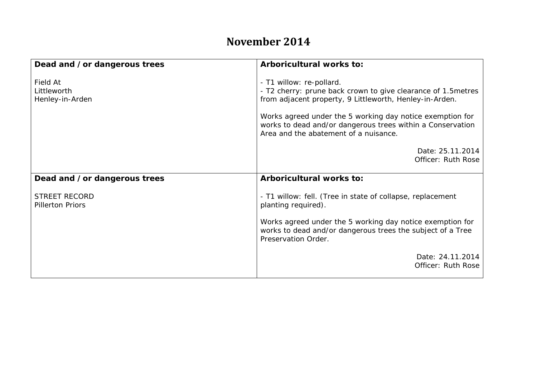## **November 2014**

| Dead and /or dangerous trees                    | Arboricultural works to:                                                                                                                                                                                                                                                                                                 |
|-------------------------------------------------|--------------------------------------------------------------------------------------------------------------------------------------------------------------------------------------------------------------------------------------------------------------------------------------------------------------------------|
| Field At<br>Littleworth<br>Henley-in-Arden      | - T1 willow: re-pollard.<br>- T2 cherry: prune back crown to give clearance of 1.5 metres<br>from adjacent property, 9 Littleworth, Henley-in-Arden.<br>Works agreed under the 5 working day notice exemption for<br>works to dead and/or dangerous trees within a Conservation<br>Area and the abatement of a nuisance. |
|                                                 | Date: 25.11.2014<br>Officer: Ruth Rose                                                                                                                                                                                                                                                                                   |
| Dead and /or dangerous trees                    | Arboricultural works to:                                                                                                                                                                                                                                                                                                 |
| <b>STREET RECORD</b><br><b>Pillerton Priors</b> | - T1 willow: fell. (Tree in state of collapse, replacement<br>planting required).                                                                                                                                                                                                                                        |
|                                                 | Works agreed under the 5 working day notice exemption for<br>works to dead and/or dangerous trees the subject of a Tree<br>Preservation Order.                                                                                                                                                                           |
|                                                 | Date: 24.11.2014<br>Officer: Ruth Rose                                                                                                                                                                                                                                                                                   |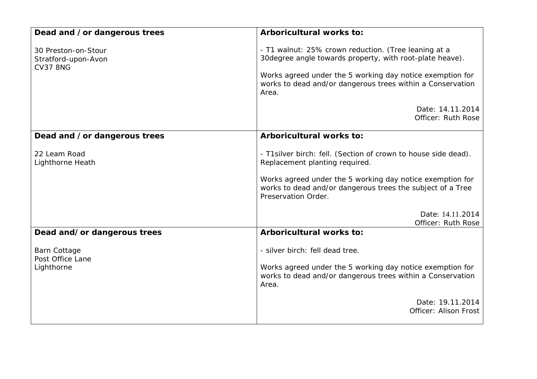| Dead and /or dangerous trees                                  | Arboricultural works to:                                                                                                                                                                                                                              |
|---------------------------------------------------------------|-------------------------------------------------------------------------------------------------------------------------------------------------------------------------------------------------------------------------------------------------------|
| 30 Preston-on-Stour<br>Stratford-upon-Avon<br><b>CV37 8NG</b> | - T1 walnut: 25% crown reduction. (Tree leaning at a<br>30 degree angle towards property, with root-plate heave).<br>Works agreed under the 5 working day notice exemption for<br>works to dead and/or dangerous trees within a Conservation<br>Area. |
|                                                               | Date: 14.11.2014<br>Officer: Ruth Rose                                                                                                                                                                                                                |
| Dead and /or dangerous trees                                  | Arboricultural works to:                                                                                                                                                                                                                              |
| 22 Leam Road<br>Lighthorne Heath                              | - T1 silver birch: fell. (Section of crown to house side dead).<br>Replacement planting required.<br>Works agreed under the 5 working day notice exemption for<br>works to dead and/or dangerous trees the subject of a Tree<br>Preservation Order.   |
|                                                               | Date: 14.11.2014                                                                                                                                                                                                                                      |
| Dead and/or dangerous trees                                   | Officer: Ruth Rose<br>Arboricultural works to:                                                                                                                                                                                                        |
| <b>Barn Cottage</b><br>Post Office Lane<br>Lighthorne         | - silver birch: fell dead tree.<br>Works agreed under the 5 working day notice exemption for<br>works to dead and/or dangerous trees within a Conservation<br>Area.                                                                                   |
|                                                               | Date: 19.11.2014<br>Officer: Alison Frost                                                                                                                                                                                                             |